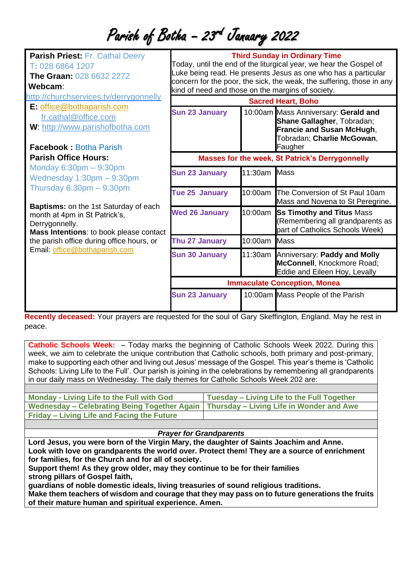# Parish of Botha - 23<sup>rd</sup> January 2022

| <b>Parish Priest: Fr. Cathal Deery</b><br>T: 028 6864 1207<br><b>The Graan: 028 6632 2272</b><br>Webcam:                                                                                                                                                                                                                        | <b>Third Sunday in Ordinary Time</b><br>Today, until the end of the liturgical year, we hear the Gospel of<br>Luke being read. He presents Jesus as one who has a particular<br>concern for the poor, the sick, the weak, the suffering, those in any<br>kind of need and those on the margins of society.<br><b>Sacred Heart, Boho</b> |              |                                                                                                                                                 |
|---------------------------------------------------------------------------------------------------------------------------------------------------------------------------------------------------------------------------------------------------------------------------------------------------------------------------------|-----------------------------------------------------------------------------------------------------------------------------------------------------------------------------------------------------------------------------------------------------------------------------------------------------------------------------------------|--------------|-------------------------------------------------------------------------------------------------------------------------------------------------|
| http://churchservices.tv/derrygonnelly                                                                                                                                                                                                                                                                                          |                                                                                                                                                                                                                                                                                                                                         |              |                                                                                                                                                 |
| E: office@bothaparish.com<br>fr.cathal@office.com<br>W: http://www.parishofbotha.com<br><b>Facebook: Botha Parish</b>                                                                                                                                                                                                           | <b>Sun 23 January</b>                                                                                                                                                                                                                                                                                                                   |              | 10:00am Mass Anniversary: Gerald and<br>Shane Gallagher, Tobradan;<br><b>Francie and Susan McHugh,</b><br>Tobradan; Charlie McGowan,<br>Faugher |
| <b>Parish Office Hours:</b>                                                                                                                                                                                                                                                                                                     | <b>Masses for the week, St Patrick's Derrygonnelly</b>                                                                                                                                                                                                                                                                                  |              |                                                                                                                                                 |
| Monday $6:30pm - 9:30pm$<br>Wednesday 1:30pm - 9:30pm<br>Thursday $6.30 \text{pm} - 9:30 \text{pm}$<br><b>Baptisms:</b> on the 1st Saturday of each<br>month at 4pm in St Patrick's,<br>Derrygonnelly.<br>Mass Intentions: to book please contact<br>the parish office during office hours, or<br>Email: office@bothaparish.com | <b>Sun 23 January</b>                                                                                                                                                                                                                                                                                                                   | 11:30am Mass |                                                                                                                                                 |
|                                                                                                                                                                                                                                                                                                                                 | Tue 25 January                                                                                                                                                                                                                                                                                                                          |              | 10:00am The Conversion of St Paul 10am<br>Mass and Novena to St Peregrine.                                                                      |
|                                                                                                                                                                                                                                                                                                                                 | <b>Wed 26 January</b>                                                                                                                                                                                                                                                                                                                   |              | 10:00am Ss Timothy and Titus Mass<br>(Remembering all grandparents as<br>part of Catholics Schools Week)                                        |
|                                                                                                                                                                                                                                                                                                                                 | Thu 27 January                                                                                                                                                                                                                                                                                                                          | 10:00am      | <b>Mass</b>                                                                                                                                     |
|                                                                                                                                                                                                                                                                                                                                 | <b>Sun 30 January</b>                                                                                                                                                                                                                                                                                                                   |              | 11:30am Anniversary: Paddy and Molly<br>McConnell, Knockmore Road;<br>Eddie and Eileen Hoy, Levally                                             |
|                                                                                                                                                                                                                                                                                                                                 | <b>Immaculate Conception, Monea</b>                                                                                                                                                                                                                                                                                                     |              |                                                                                                                                                 |
|                                                                                                                                                                                                                                                                                                                                 | <b>Sun 23 January</b>                                                                                                                                                                                                                                                                                                                   |              | 10:00am Mass People of the Parish                                                                                                               |

**Recently deceased:** Your prayers are requested for the soul of Gary Skeffington, England. May he rest in peace.

**Catholic Schools Week:** – Today marks the beginning of Catholic Schools Week 2022. During this week, we aim to celebrate the unique contribution that Catholic schools, both primary and post-primary, make to supporting each other and living out Jesus' message of the Gospel. This year's theme is 'Catholic Schools: Living Life to the Full'. Our parish is joining in the celebrations by remembering all grandparents in our daily mass on Wednesday. The daily themes for Catholic Schools Week 202 are:

| <b>Monday - Living Life to the Full with God</b>                                        | Tuesday – Living Life to the Full Together |
|-----------------------------------------------------------------------------------------|--------------------------------------------|
| Wednesday – Celebrating Being Together Again   Thursday – Living Life in Wonder and Awe |                                            |
| Friday – Living Life and Facing the Future                                              |                                            |

## *Prayer for Grandparents*

**Lord Jesus, you were born of the Virgin Mary, the daughter of Saints Joachim and Anne. Look with love on grandparents the world over. Protect them! They are a source of enrichment for families, for the Church and for all of society.**

**Support them! As they grow older, may they continue to be for their families strong pillars of Gospel faith,**

**guardians of noble domestic ideals, living treasuries of sound religious traditions.**

**Make them teachers of wisdom and courage that they may pass on to future generations the fruits of their mature human and spiritual experience. Amen.**